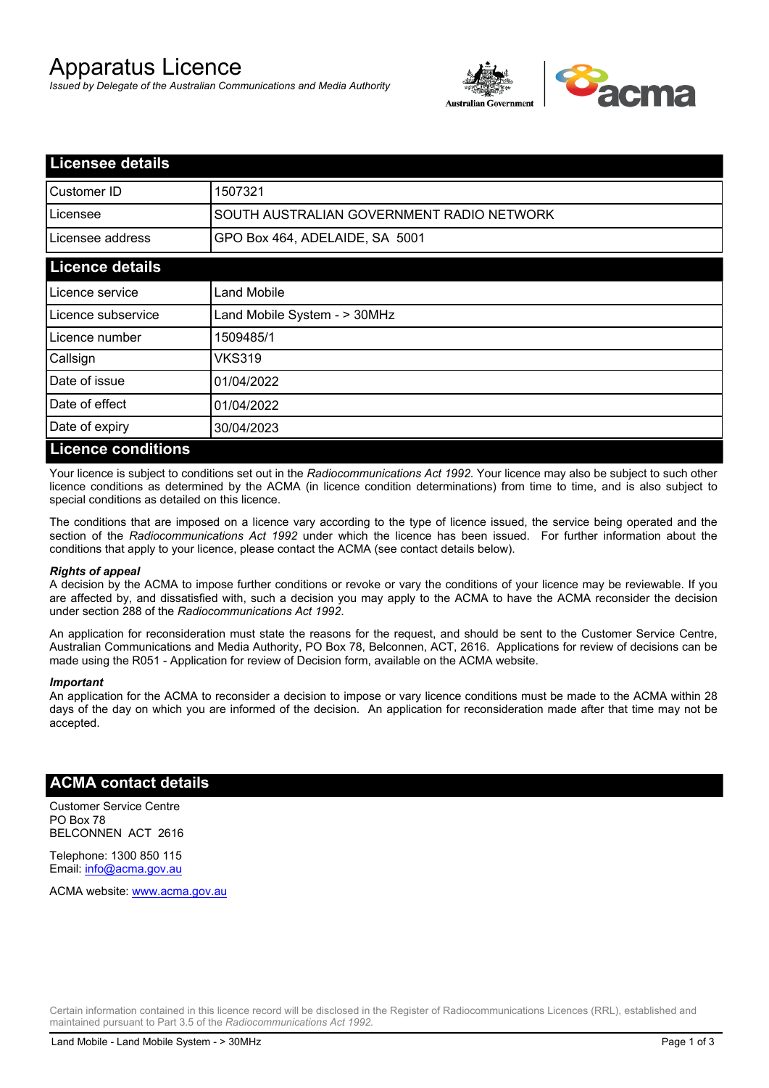# Apparatus Licence

*Issued by Delegate of the Australian Communications and Media Authority*



| <b>Licensee details</b>   |                                           |  |
|---------------------------|-------------------------------------------|--|
| Customer ID               | 1507321                                   |  |
| Licensee                  | SOUTH AUSTRALIAN GOVERNMENT RADIO NETWORK |  |
| Licensee address          | GPO Box 464, ADELAIDE, SA 5001            |  |
| <b>Licence details</b>    |                                           |  |
| Licence service           | Land Mobile                               |  |
| Licence subservice        | Land Mobile System - > 30MHz              |  |
| Licence number            | 1509485/1                                 |  |
| Callsign                  | VKS319                                    |  |
| Date of issue             | 01/04/2022                                |  |
| Date of effect            | 01/04/2022                                |  |
| Date of expiry            | 30/04/2023                                |  |
| <b>Licence conditions</b> |                                           |  |

Your licence is subject to conditions set out in the *Radiocommunications Act 1992*. Your licence may also be subject to such other licence conditions as determined by the ACMA (in licence condition determinations) from time to time, and is also subject to special conditions as detailed on this licence.

The conditions that are imposed on a licence vary according to the type of licence issued, the service being operated and the section of the *Radiocommunications Act 1992* under which the licence has been issued. For further information about the conditions that apply to your licence, please contact the ACMA (see contact details below).

#### *Rights of appeal*

A decision by the ACMA to impose further conditions or revoke or vary the conditions of your licence may be reviewable. If you are affected by, and dissatisfied with, such a decision you may apply to the ACMA to have the ACMA reconsider the decision under section 288 of the *Radiocommunications Act 1992*.

An application for reconsideration must state the reasons for the request, and should be sent to the Customer Service Centre, Australian Communications and Media Authority, PO Box 78, Belconnen, ACT, 2616. Applications for review of decisions can be made using the R051 - Application for review of Decision form, available on the ACMA website.

#### *Important*

An application for the ACMA to reconsider a decision to impose or vary licence conditions must be made to the ACMA within 28 days of the day on which you are informed of the decision. An application for reconsideration made after that time may not be accepted.

### **ACMA contact details**

Customer Service Centre PO Box 78 BELCONNEN ACT 2616

Telephone: 1300 850 115 Email: info@acma.gov.au

ACMA website: www.acma.gov.au

Certain information contained in this licence record will be disclosed in the Register of Radiocommunications Licences (RRL), established and maintained pursuant to Part 3.5 of the *Radiocommunications Act 1992.*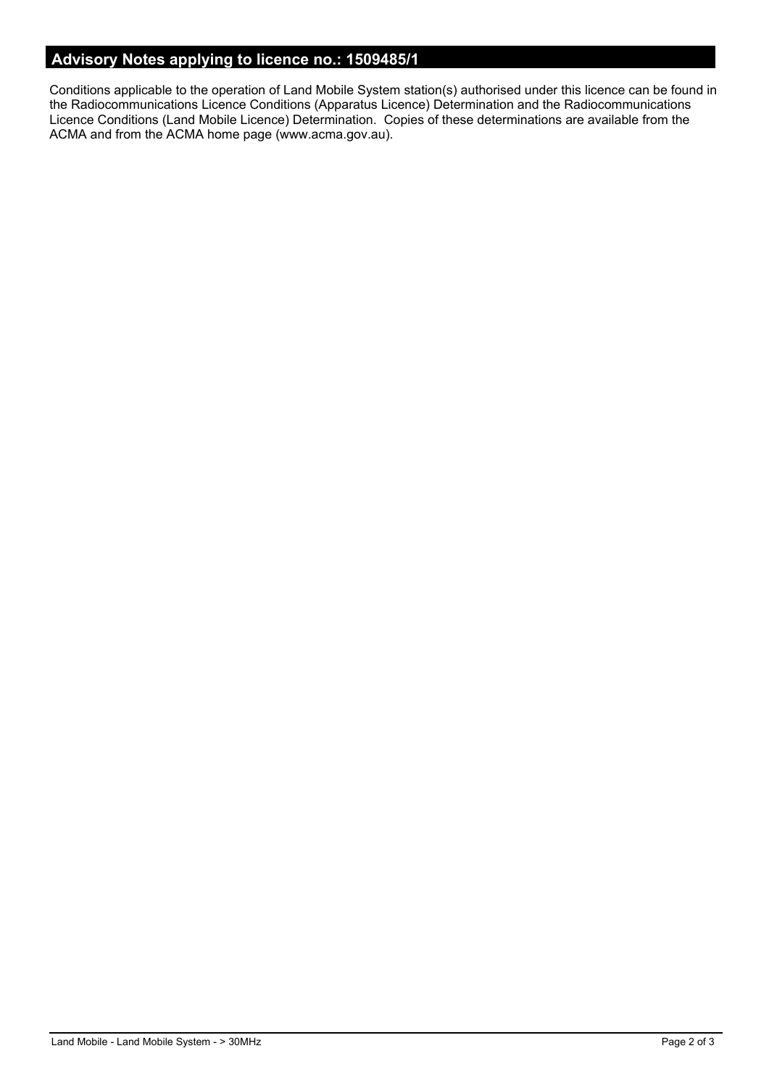# **Advisory Notes applying to licence no.: 1509485/1**

Conditions applicable to the operation of Land Mobile System station(s) authorised under this licence can be found in the Radiocommunications Licence Conditions (Apparatus Licence) Determination and the Radiocommunications Licence Conditions (Land Mobile Licence) Determination. Copies of these determinations are available from the ACMA and from the ACMA home page (www.acma.gov.au).